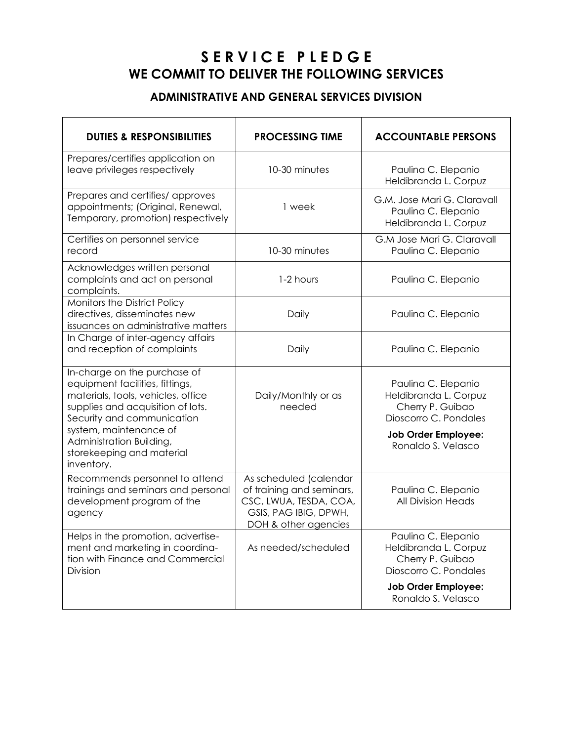# **S E R V I C E P L E D G E WE COMMIT TO DELIVER THE FOLLOWING SERVICES**

#### **ADMINISTRATIVE AND GENERAL SERVICES DIVISION**

| <b>DUTIES &amp; RESPONSIBILITIES</b>                                                                                                                                                                                                                                      | <b>PROCESSING TIME</b>                                                                                                         | <b>ACCOUNTABLE PERSONS</b>                                                                                                                    |
|---------------------------------------------------------------------------------------------------------------------------------------------------------------------------------------------------------------------------------------------------------------------------|--------------------------------------------------------------------------------------------------------------------------------|-----------------------------------------------------------------------------------------------------------------------------------------------|
| Prepares/certifies application on<br>leave privileges respectively                                                                                                                                                                                                        | 10-30 minutes                                                                                                                  | Paulina C. Elepanio<br>Heldibranda L. Corpuz                                                                                                  |
| Prepares and certifies/ approves<br>appointments; (Original, Renewal,<br>Temporary, promotion) respectively                                                                                                                                                               | 1 week                                                                                                                         | G.M. Jose Mari G. Claravall<br>Paulina C. Elepanio<br>Heldibranda L. Corpuz                                                                   |
| Certifies on personnel service<br>record                                                                                                                                                                                                                                  | 10-30 minutes                                                                                                                  | G.M Jose Mari G. Claravall<br>Paulina C. Elepanio                                                                                             |
| Acknowledges written personal<br>complaints and act on personal<br>complaints.                                                                                                                                                                                            | 1-2 hours                                                                                                                      | Paulina C. Elepanio                                                                                                                           |
| Monitors the District Policy<br>directives, disseminates new<br>issuances on administrative matters                                                                                                                                                                       | Daily                                                                                                                          | Paulina C. Elepanio                                                                                                                           |
| In Charge of inter-agency affairs<br>and reception of complaints                                                                                                                                                                                                          | Daily                                                                                                                          | Paulina C. Elepanio                                                                                                                           |
| In-charge on the purchase of<br>equipment facilities, fittings,<br>materials, tools, vehicles, office<br>supplies and acquisition of lots.<br>Security and communication<br>system, maintenance of<br>Administration Building,<br>storekeeping and material<br>inventory. | Daily/Monthly or as<br>needed                                                                                                  | Paulina C. Elepanio<br>Heldibranda L. Corpuz<br>Cherry P. Guibao<br>Dioscorro C. Pondales<br><b>Job Order Employee:</b><br>Ronaldo S. Velasco |
| Recommends personnel to attend<br>trainings and seminars and personal<br>development program of the<br>agency                                                                                                                                                             | As scheduled (calendar<br>of training and seminars,<br>CSC, LWUA, TESDA, COA,<br>GSIS, PAG IBIG, DPWH,<br>DOH & other agencies | Paulina C. Elepanio<br>All Division Heads                                                                                                     |
| Helps in the promotion, advertise-<br>ment and marketing in coordina-<br>tion with Finance and Commercial<br><b>Division</b>                                                                                                                                              | As needed/scheduled                                                                                                            | Paulina C. Elepanio<br>Heldibranda L. Corpuz<br>Cherry P. Guibao<br>Dioscorro C. Pondales                                                     |
|                                                                                                                                                                                                                                                                           |                                                                                                                                | <b>Job Order Employee:</b><br>Ronaldo S. Velasco                                                                                              |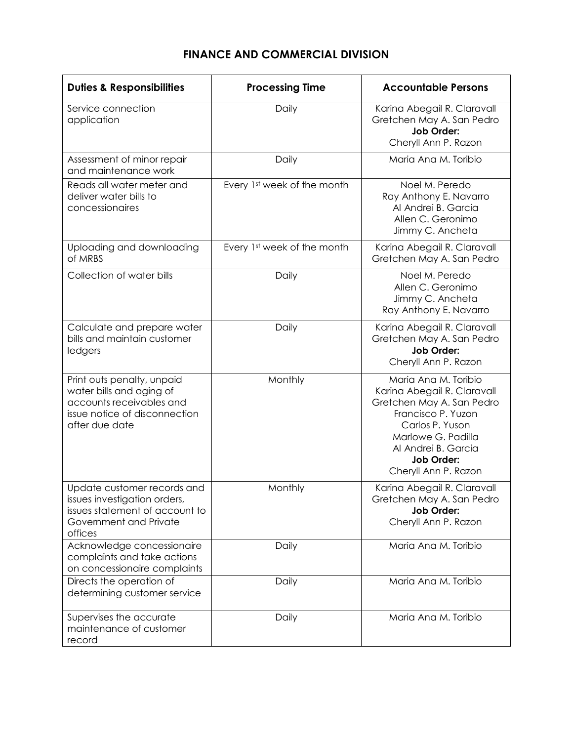# **FINANCE AND COMMERCIAL DIVISION**

| <b>Duties &amp; Responsibilities</b>                                                                                                  | <b>Processing Time</b>      | <b>Accountable Persons</b>                                                                                                                                                                                          |
|---------------------------------------------------------------------------------------------------------------------------------------|-----------------------------|---------------------------------------------------------------------------------------------------------------------------------------------------------------------------------------------------------------------|
| Service connection<br>application                                                                                                     | Daily                       | Karina Abegail R. Claravall<br>Gretchen May A. San Pedro<br><b>Job Order:</b><br>Cheryll Ann P. Razon                                                                                                               |
| Assessment of minor repair<br>and maintenance work                                                                                    | Daily                       | Maria Ana M. Toribio                                                                                                                                                                                                |
| Reads all water meter and<br>deliver water bills to<br>concessionaires                                                                | Every 1st week of the month | Noel M. Peredo<br>Ray Anthony E. Navarro<br>Al Andrei B. Garcia<br>Allen C. Geronimo<br>Jimmy C. Ancheta                                                                                                            |
| Uploading and downloading<br>of MRBS                                                                                                  | Every 1st week of the month | Karina Abegail R. Claravall<br>Gretchen May A. San Pedro                                                                                                                                                            |
| Collection of water bills                                                                                                             | Daily                       | Noel M. Peredo<br>Allen C. Geronimo<br>Jimmy C. Ancheta<br>Ray Anthony E. Navarro                                                                                                                                   |
| Calculate and prepare water<br>bills and maintain customer<br>ledgers                                                                 | Daily                       | Karina Abegail R. Claravall<br>Gretchen May A. San Pedro<br><b>Job Order:</b><br>Cheryll Ann P. Razon                                                                                                               |
| Print outs penalty, unpaid<br>water bills and aging of<br>accounts receivables and<br>issue notice of disconnection<br>after due date | Monthly                     | Maria Ana M. Toribio<br>Karina Abegail R. Claravall<br>Gretchen May A. San Pedro<br>Francisco P. Yuzon<br>Carlos P. Yuson<br>Marlowe G. Padilla<br>Al Andrei B. Garcia<br><b>Job Order:</b><br>Cheryll Ann P. Razon |
| Update customer records and<br>issues investigation orders,<br>issues statement of account to<br>Government and Private<br>offices    | Monthly                     | Karina Abegail R. Claravall<br>Gretchen May A. San Pedro<br>Job Order:<br>Cheryll Ann P. Razon                                                                                                                      |
| Acknowledge concessionaire<br>complaints and take actions<br>on concessionaire complaints                                             | Daily                       | Maria Ana M. Toribio                                                                                                                                                                                                |
| Directs the operation of<br>determining customer service                                                                              | Daily                       | Maria Ana M. Toribio                                                                                                                                                                                                |
| Supervises the accurate<br>maintenance of customer<br>record                                                                          | Daily                       | Maria Ana M. Toribio                                                                                                                                                                                                |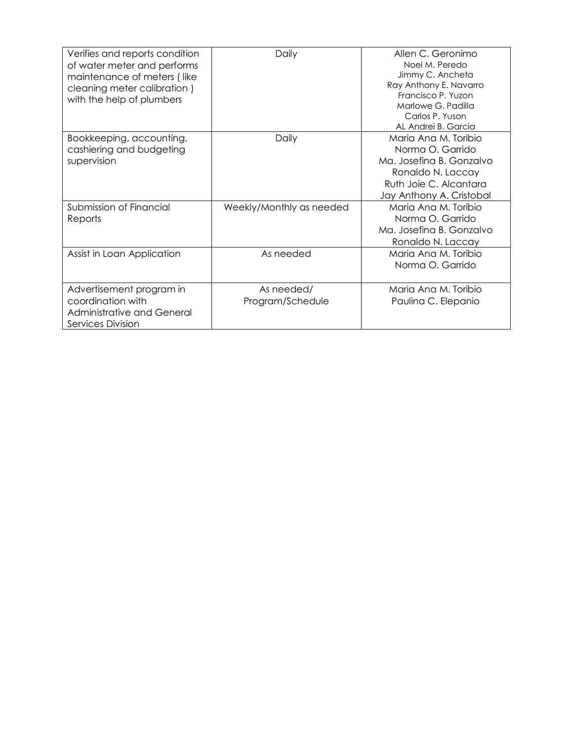| Verifies and reports condition<br>of water meter and performs<br>maintenance of meters (like<br>cleaning meter calibration)<br>with the help of plumbers | Daily                          | Allen C. Geronimo<br>Noel M. Peredo<br>Jimmy C. Ancheta<br>Ray Anthony E. Navarro<br>Francisco P. Yuzon<br>Marlowe G. Padilla<br>Carlos P. Yuson<br>AL Andrei B. Garcia |
|----------------------------------------------------------------------------------------------------------------------------------------------------------|--------------------------------|-------------------------------------------------------------------------------------------------------------------------------------------------------------------------|
| Bookkeeping, accounting,<br>cashiering and budgeting<br>supervision                                                                                      | Daily                          | Maria Ana M. Toribio<br>Norma O. Garrido<br>Ma. Josefina B. Gonzalvo<br>Ronaldo N. Laccay<br>Ruth Joie C. Alcantara<br>Jay Anthony A. Cristobal                         |
| Submission of Financial<br>Reports                                                                                                                       | Weekly/Monthly as needed       | Maria Ana M. Toribio<br>Norma O. Garrido<br>Ma. Josefina B. Gonzalvo<br>Ronaldo N. Laccay                                                                               |
| Assist in Loan Application                                                                                                                               | As needed                      | Maria Ana M. Toribio<br>Norma O. Garrido                                                                                                                                |
| Advertisement program in<br>coordination with<br>Administrative and General<br>Services Division                                                         | As needed/<br>Program/Schedule | Maria Ana M. Toribio<br>Paulina C. Elepanio                                                                                                                             |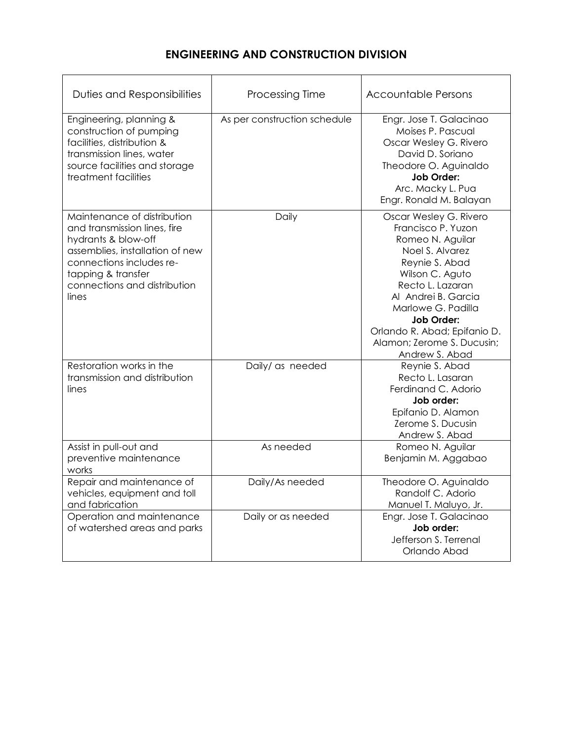## **ENGINEERING AND CONSTRUCTION DIVISION**

| Duties and Responsibilities                                                                                                                                                                                      | <b>Processing Time</b>       | <b>Accountable Persons</b>                                                                                                                                                                                                                                                                     |
|------------------------------------------------------------------------------------------------------------------------------------------------------------------------------------------------------------------|------------------------------|------------------------------------------------------------------------------------------------------------------------------------------------------------------------------------------------------------------------------------------------------------------------------------------------|
| Engineering, planning &<br>construction of pumping<br>facilities, distribution &<br>transmission lines, water<br>source facilities and storage<br>treatment facilities                                           | As per construction schedule | Engr. Jose T. Galacinao<br>Moises P. Pascual<br>Oscar Wesley G. Rivero<br>David D. Soriano<br>Theodore O. Aguinaldo<br>Job Order:<br>Arc. Macky L. Pua<br>Engr. Ronald M. Balayan                                                                                                              |
| Maintenance of distribution<br>and transmission lines, fire<br>hydrants & blow-off<br>assemblies, installation of new<br>connections includes re-<br>tapping & transfer<br>connections and distribution<br>lines | Daily                        | Oscar Wesley G. Rivero<br>Francisco P. Yuzon<br>Romeo N. Aguilar<br>Noel S. Alvarez<br>Reynie S. Abad<br>Wilson C. Aguto<br>Recto L. Lazaran<br>Al Andrei B. Garcia<br>Marlowe G. Padilla<br><b>Job Order:</b><br>Orlando R. Abad; Epifanio D.<br>Alamon; Zerome S. Ducusin;<br>Andrew S. Abad |
| Restoration works in the<br>transmission and distribution<br>lines                                                                                                                                               | Daily/ as needed             | Reynie S. Abad<br>Recto L. Lasaran<br>Ferdinand C. Adorio<br>Job order:<br>Epifanio D. Alamon<br>Zerome S. Ducusin<br>Andrew S. Abad                                                                                                                                                           |
| Assist in pull-out and<br>preventive maintenance<br>works                                                                                                                                                        | As needed                    | Romeo N. Aguilar<br>Benjamin M. Aggabao                                                                                                                                                                                                                                                        |
| Repair and maintenance of<br>vehicles, equipment and toll<br>and fabrication                                                                                                                                     | Daily/As needed              | Theodore O. Aguinaldo<br>Randolf C. Adorio<br>Manuel T. Maluyo, Jr.                                                                                                                                                                                                                            |
| Operation and maintenance<br>of watershed areas and parks                                                                                                                                                        | Daily or as needed           | Engr. Jose T. Galacinao<br>Job order:<br>Jefferson S. Terrenal<br>Orlando Abad                                                                                                                                                                                                                 |